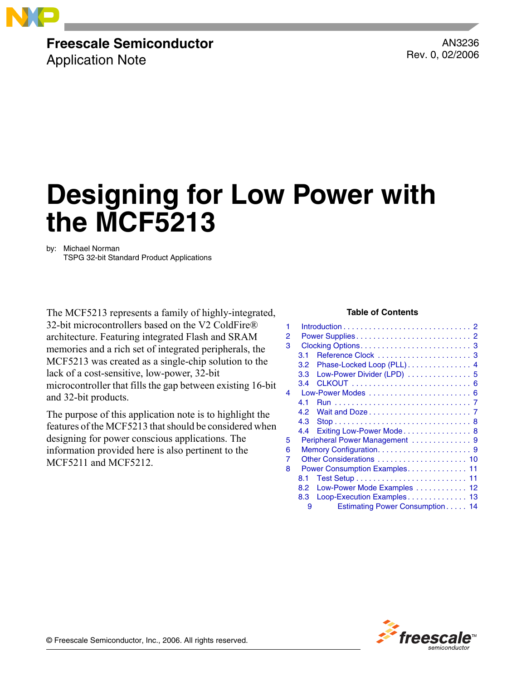

### **Freescale Semiconductor**

Application Note

AN3236 Rev. 0, 02/2006

# **Designing for Low Power with the MCF5213**

by: Michael Norman TSPG 32-bit Standard Product Applications

The MCF5213 represents a family of highly-integrated, **Table of Contents** 32-bit microcontrollers based on the V2 ColdFire® architecture. Featuring integrated Flash and SRAM memories and a rich set of integrated peripherals, the MCF5213 was created as a single-chip solution to the lack of a cost-sensitive, low-power, 32-bit microcontroller that fills the gap between existing 16-bit and 32-bit products.

The purpose of this application note is to highlight the features of the MCF5213 that should be considered when designing for power conscious applications. The information provided here is also pertinent to the MCF5211 and MCF5212.

| 1 |     | $Introduction \dots \dots \dots \dots \dots \dots \dots \dots \dots \dots \dots \cdot 2$ |
|---|-----|------------------------------------------------------------------------------------------|
| 2 |     |                                                                                          |
| 3 |     |                                                                                          |
|   | 3.1 | Reference Clock  3                                                                       |
|   | 3.2 | Phase-Locked Loop (PLL) 4                                                                |
|   | 3.3 | Low-Power Divider (LPD)  5                                                               |
|   | 3.4 |                                                                                          |
| 4 |     |                                                                                          |
|   | 41  |                                                                                          |
|   | 4.2 |                                                                                          |
|   | 4.3 |                                                                                          |
|   | 4.4 | Exiting Low-Power Mode 8                                                                 |
| 5 |     | Peripheral Power Management  9                                                           |
| 6 |     |                                                                                          |
| 7 |     |                                                                                          |
| 8 |     | Power Consumption Examples 11                                                            |
|   | 8.1 |                                                                                          |
|   | 8.2 | Low-Power Mode Examples  12                                                              |
|   | 8.3 | Loop-Execution Examples 13                                                               |
|   | 9   | Estimating Power Consumption 14                                                          |
|   |     |                                                                                          |



© Freescale Semiconductor, Inc., 2006. All rights reserved.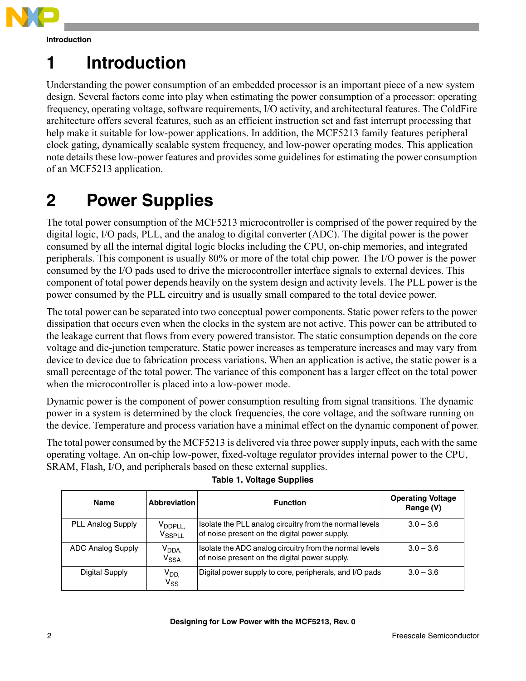

**Introduction**

## <span id="page-1-0"></span>**1 Introduction**

Understanding the power consumption of an embedded processor is an important piece of a new system design. Several factors come into play when estimating the power consumption of a processor: operating frequency, operating voltage, software requirements, I/O activity, and architectural features. The ColdFire architecture offers several features, such as an efficient instruction set and fast interrupt processing that help make it suitable for low-power applications. In addition, the MCF5213 family features peripheral clock gating, dynamically scalable system frequency, and low-power operating modes. This application note details these low-power features and provides some guidelines for estimating the power consumption of an MCF5213 application.

## <span id="page-1-1"></span>**2 Power Supplies**

The total power consumption of the MCF5213 microcontroller is comprised of the power required by the digital logic, I/O pads, PLL, and the analog to digital converter (ADC). The digital power is the power consumed by all the internal digital logic blocks including the CPU, on-chip memories, and integrated peripherals. This component is usually 80% or more of the total chip power. The I/O power is the power consumed by the I/O pads used to drive the microcontroller interface signals to external devices. This component of total power depends heavily on the system design and activity levels. The PLL power is the power consumed by the PLL circuitry and is usually small compared to the total device power.

The total power can be separated into two conceptual power components. Static power refers to the power dissipation that occurs even when the clocks in the system are not active. This power can be attributed to the leakage current that flows from every powered transistor. The static consumption depends on the core voltage and die-junction temperature. Static power increases as temperature increases and may vary from device to device due to fabrication process variations. When an application is active, the static power is a small percentage of the total power. The variance of this component has a larger effect on the total power when the microcontroller is placed into a low-power mode.

Dynamic power is the component of power consumption resulting from signal transitions. The dynamic power in a system is determined by the clock frequencies, the core voltage, and the software running on the device. Temperature and process variation have a minimal effect on the dynamic component of power.

The total power consumed by the MCF5213 is delivered via three power supply inputs, each with the same operating voltage. An on-chip low-power, fixed-voltage regulator provides internal power to the CPU, SRAM, Flash, I/O, and peripherals based on these external supplies.

| <b>Name</b>              | <b>Abbreviation</b>                                 | <b>Function</b>                                                                                          | <b>Operating Voltage</b><br>Range (V) |  |  |
|--------------------------|-----------------------------------------------------|----------------------------------------------------------------------------------------------------------|---------------------------------------|--|--|
| <b>PLL Analog Supply</b> | V <sub>DDPLL</sub><br>$\mathsf{V}_{\textsf{SSPLL}}$ | Isolate the PLL analog circuitry from the normal levels<br>of noise present on the digital power supply. | $3.0 - 3.6$                           |  |  |
| <b>ADC Analog Supply</b> | V <sub>DDA,</sub><br>$\mathsf{V}_{\mathsf{SSA}}$    | Isolate the ADC analog circuitry from the normal levels<br>of noise present on the digital power supply. | $3.0 - 3.6$                           |  |  |
| Digital Supply           | V <sub>DD</sub><br>$V_{SS}$                         | Digital power supply to core, peripherals, and I/O pads                                                  | $3.0 - 3.6$                           |  |  |

### **Table 1. Voltage Supplies**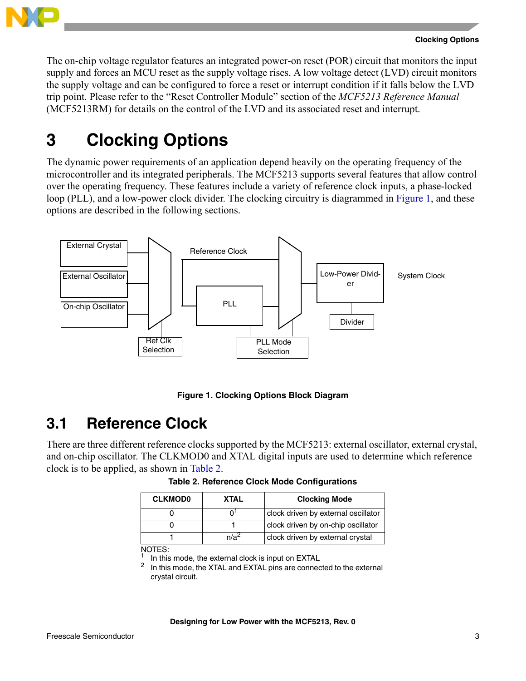

The on-chip voltage regulator features an integrated power-on reset (POR) circuit that monitors the input supply and forces an MCU reset as the supply voltage rises. A low voltage detect (LVD) circuit monitors the supply voltage and can be configured to force a reset or interrupt condition if it falls below the LVD trip point. Please refer to the "Reset Controller Module" section of the *MCF5213 Reference Manual*  (MCF5213RM) for details on the control of the LVD and its associated reset and interrupt.

## <span id="page-2-0"></span>**3 Clocking Options**

The dynamic power requirements of an application depend heavily on the operating frequency of the microcontroller and its integrated peripherals. The MCF5213 supports several features that allow control over the operating frequency. These features include a variety of reference clock inputs, a phase-locked loop (PLL), and a low-power clock divider. The clocking circuitry is diagrammed in [Figure 1,](#page-2-2) and these options are described in the following sections.



**Figure 1. Clocking Options Block Diagram**

## <span id="page-2-2"></span><span id="page-2-1"></span>**3.1 Reference Clock**

<span id="page-2-3"></span>There are three different reference clocks supported by the MCF5213: external oscillator, external crystal, and on-chip oscillator. The CLKMOD0 and XTAL digital inputs are used to determine which reference clock is to be applied, as shown in [Table 2](#page-2-3).

|      | <b>Clocking Mode</b>                |
|------|-------------------------------------|
|      | clock driven by external oscillator |
|      | clock driven by on-chip oscillator  |
| n/a∸ | clock driven by external crystal    |
|      |                                     |

**Table 2. Reference Clock Mode Configurations**

<sup>1</sup> In this mode, the external clock is input on EXTAL  $^2$  In this mode, the YTAL and EXTAL pipe are connected.

In this mode, the XTAL and EXTAL pins are connected to the external crystal circuit.

NOTES: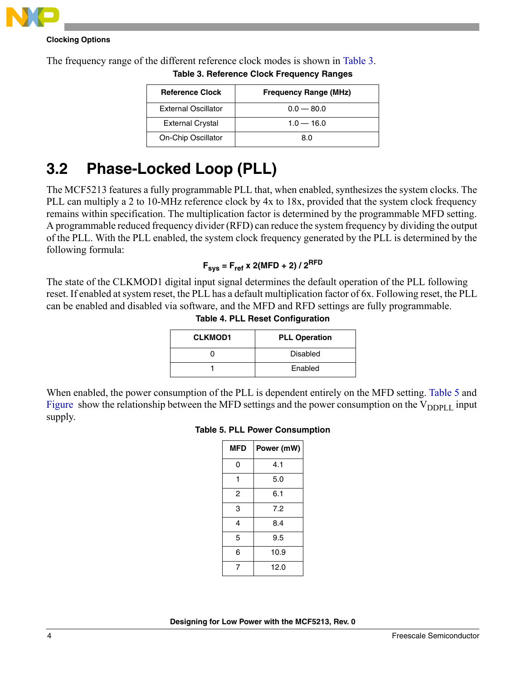

### **Clocking Options**

<span id="page-3-1"></span>The frequency range of the different reference clock modes is shown in [Table 3.](#page-3-1)

| <b>Reference Clock</b>     | <b>Frequency Range (MHz)</b> |
|----------------------------|------------------------------|
| <b>External Oscillator</b> | $0.0 - 80.0$                 |
| <b>External Crystal</b>    | $1.0 - 16.0$                 |
| On-Chip Oscillator         | 8 O                          |

**Table 3. Reference Clock Frequency Ranges**

## <span id="page-3-0"></span>**3.2 Phase-Locked Loop (PLL)**

The MCF5213 features a fully programmable PLL that, when enabled, synthesizes the system clocks. The PLL can multiply a 2 to 10-MHz reference clock by 4x to 18x, provided that the system clock frequency remains within specification. The multiplication factor is determined by the programmable MFD setting. A programmable reduced frequency divider (RFD) can reduce the system frequency by dividing the output of the PLL. With the PLL enabled, the system clock frequency generated by the PLL is determined by the following formula:

### $F_{sys} = F_{ref} \times 2(MFD + 2) / 2^{RFD}$

The state of the CLKMOD1 digital input signal determines the default operation of the PLL following reset. If enabled at system reset, the PLL has a default multiplication factor of 6x. Following reset, the PLL can be enabled and disabled via software, and the MFD and RFD settings are fully programmable.

|  |  |  | <b>Table 4. PLL Reset Configuration</b> |
|--|--|--|-----------------------------------------|
|--|--|--|-----------------------------------------|

| <b>CLKMOD1</b> | <b>PLL Operation</b> |
|----------------|----------------------|
|                | Disabled             |
|                | Enabled              |

<span id="page-3-2"></span>When enabled, the power consumption of the PLL is dependent entirely on the MFD setting. [Table 5](#page-3-2) and [Figure](#page-4-1) show the relationship between the MFD settings and the power consumption on the  $V_{\text{DDPI L}}$  input supply.

### **Table 5. PLL Power Consumption**

| <b>MFD</b> | Power (mW) |
|------------|------------|
| 0          | 4.1        |
| 1          | 5.0        |
| 2          | 6.1        |
| 3          | 7.2        |
| 4          | 8.4        |
| 5          | 9.5        |
| 6          | 10.9       |
| 7          | 12.0       |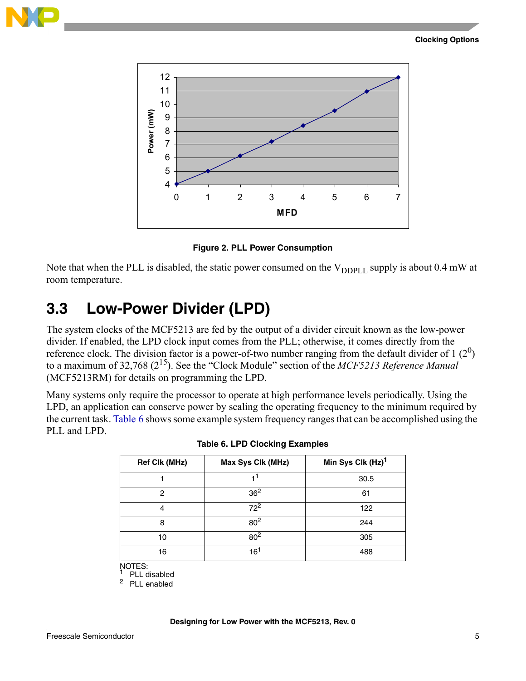<span id="page-4-1"></span>



**Figure 2. PLL Power Consumption**

Note that when the PLL is disabled, the static power consumed on the  $V_{DDPIL}$  supply is about 0.4 mW at room temperature.

### <span id="page-4-0"></span>**3.3 Low-Power Divider (LPD)**

The system clocks of the MCF5213 are fed by the output of a divider circuit known as the low-power divider. If enabled, the LPD clock input comes from the PLL; otherwise, it comes directly from the reference clock. The division factor is a power-of-two number ranging from the default divider of 1  $(2^0)$ to a maximum of 32,768 (215). See the "Clock Module" section of the *MCF5213 Reference Manual*  (MCF5213RM) for details on programming the LPD.

<span id="page-4-2"></span>Many systems only require the processor to operate at high performance levels periodically. Using the LPD, an application can conserve power by scaling the operating frequency to the minimum required by the current task. [Table 6](#page-4-2) shows some example system frequency ranges that can be accomplished using the PLL and LPD.

| <b>Ref Clk (MHz)</b> | Max Sys Clk (MHz) | Min Sys Clk (Hz) <sup>1</sup> |
|----------------------|-------------------|-------------------------------|
|                      |                   | 30.5                          |
| 2                    | 36 <sup>2</sup>   | 61                            |
| 4                    | $72^2$            | 122                           |
| 8                    | 80 <sup>2</sup>   | 244                           |
| 10                   | 80 <sup>2</sup>   | 305                           |
| 16                   | 16'               | 488                           |

NOTES:

PLL disabled <sup>2</sup> PLL enabled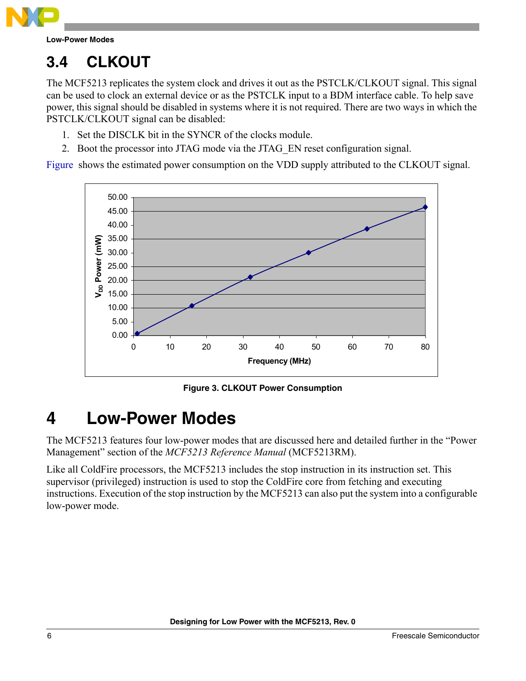

## <span id="page-5-0"></span>**3.4 CLKOUT**

The MCF5213 replicates the system clock and drives it out as the PSTCLK/CLKOUT signal. This signal can be used to clock an external device or as the PSTCLK input to a BDM interface cable. To help save power, this signal should be disabled in systems where it is not required. There are two ways in which the PSTCLK/CLKOUT signal can be disabled:

- 1. Set the DISCLK bit in the SYNCR of the clocks module.
- 2. Boot the processor into JTAG mode via the JTAG\_EN reset configuration signal.

<span id="page-5-2"></span>[Figure](#page-5-2) shows the estimated power consumption on the VDD supply attributed to the CLKOUT signal.



**Figure 3. CLKOUT Power Consumption**

## <span id="page-5-1"></span>**4 Low-Power Modes**

The MCF5213 features four low-power modes that are discussed here and detailed further in the "Power Management" section of the *MCF5213 Reference Manual* (MCF5213RM).

Like all ColdFire processors, the MCF5213 includes the stop instruction in its instruction set. This supervisor (privileged) instruction is used to stop the ColdFire core from fetching and executing instructions. Execution of the stop instruction by the MCF5213 can also put the system into a configurable low-power mode.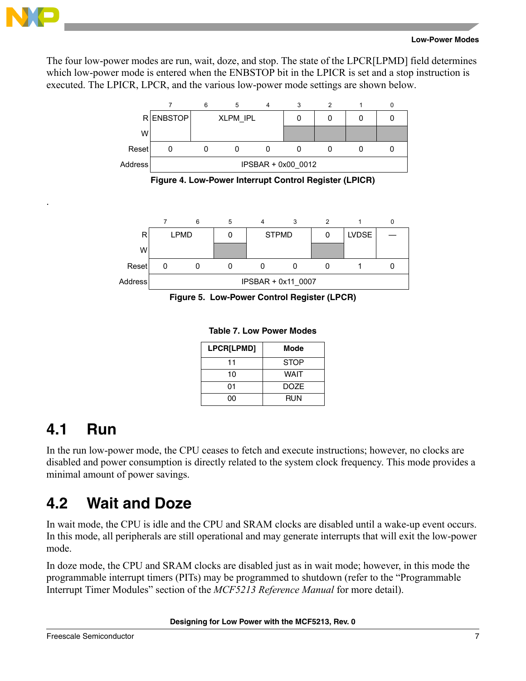

.

#### **Low-Power Modes**

The four low-power modes are run, wait, doze, and stop. The state of the LPCR[LPMD] field determines which low-power mode is entered when the ENBSTOP bit in the LPICR is set and a stop instruction is executed. The LPICR, LPCR, and the various low-power mode settings are shown below.



**Figure 4. Low-Power Interrupt Control Register (LPICR)**



**Figure 5. Low-Power Control Register (LPCR)**

**Table 7. Low Power Modes**

| LPCR[LPMD] | Mode        |
|------------|-------------|
| 11         | <b>STOP</b> |
| 10         | <b>WAIT</b> |
| 01         | <b>DOZE</b> |
| იი         | RUN         |

### <span id="page-6-0"></span>**4.1 Run**

In the run low-power mode, the CPU ceases to fetch and execute instructions; however, no clocks are disabled and power consumption is directly related to the system clock frequency. This mode provides a minimal amount of power savings.

### <span id="page-6-1"></span>**4.2 Wait and Doze**

In wait mode, the CPU is idle and the CPU and SRAM clocks are disabled until a wake-up event occurs. In this mode, all peripherals are still operational and may generate interrupts that will exit the low-power mode.

In doze mode, the CPU and SRAM clocks are disabled just as in wait mode; however, in this mode the programmable interrupt timers (PITs) may be programmed to shutdown (refer to the "Programmable Interrupt Timer Modules" section of the *MCF5213 Reference Manual* for more detail).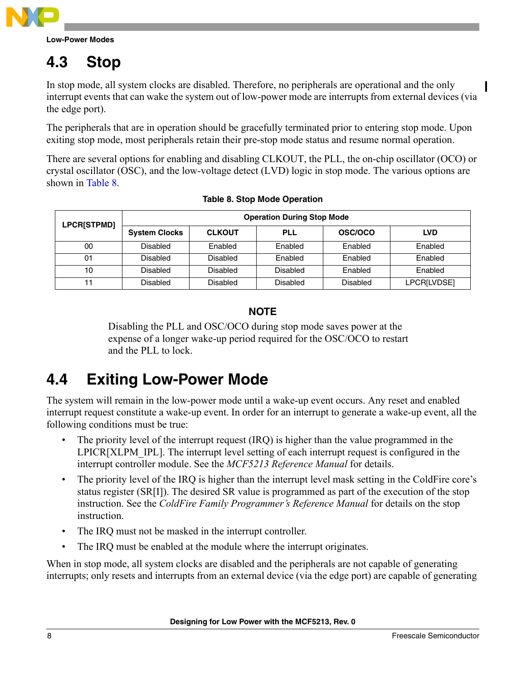

## <span id="page-7-0"></span>**4.3 Stop**

In stop mode, all system clocks are disabled. Therefore, no peripherals are operational and the only interrupt events that can wake the system out of low-power mode are interrupts from external devices (via the edge port).

The peripherals that are in operation should be gracefully terminated prior to entering stop mode. Upon exiting stop mode, most peripherals retain their pre-stop mode status and resume normal operation.

There are several options for enabling and disabling CLKOUT, the PLL, the on-chip oscillator (OCO) or crystal oscillator (OSC), and the low-voltage detect (LVD) logic in stop mode. The various options are shown in [Table 8](#page-7-2).

<span id="page-7-2"></span>

| <b>LPCR[STPMD]</b> | <b>Operation During Stop Mode</b> |                 |            |          |             |  |
|--------------------|-----------------------------------|-----------------|------------|----------|-------------|--|
|                    | <b>System Clocks</b>              | <b>CLKOUT</b>   | <b>PLL</b> | OSC/OCO  | <b>LVD</b>  |  |
| 00                 | <b>Disabled</b>                   | Enabled         | Enabled    | Enabled  | Enabled     |  |
| 01                 | Disabled                          | Disabled        | Enabled    | Enabled  | Enabled     |  |
| 10                 | Disabled                          | <b>Disabled</b> | Disabled   | Enabled  | Enabled     |  |
| 11                 | Disabled                          | Disabled        | Disabled   | Disabled | LPCR[LVDSE] |  |

### **NOTE**

Disabling the PLL and OSC/OCO during stop mode saves power at the expense of a longer wake-up period required for the OSC/OCO to restart and the PLL to lock.

## <span id="page-7-1"></span>**4.4 Exiting Low-Power Mode**

The system will remain in the low-power mode until a wake-up event occurs. Any reset and enabled interrupt request constitute a wake-up event. In order for an interrupt to generate a wake-up event, all the following conditions must be true:

- The priority level of the interrupt request (IRQ) is higher than the value programmed in the LPICR[XLPM\_IPL]. The interrupt level setting of each interrupt request is configured in the interrupt controller module. See the *MCF5213 Reference Manual* for details.
- The priority level of the IRQ is higher than the interrupt level mask setting in the ColdFire core's status register (SR[I]). The desired SR value is programmed as part of the execution of the stop instruction. See the *ColdFire Family Programmer's Reference Manual* for details on the stop instruction.
- The IRQ must not be masked in the interrupt controller.
- The IRQ must be enabled at the module where the interrupt originates.

When in stop mode, all system clocks are disabled and the peripherals are not capable of generating interrupts; only resets and interrupts from an external device (via the edge port) are capable of generating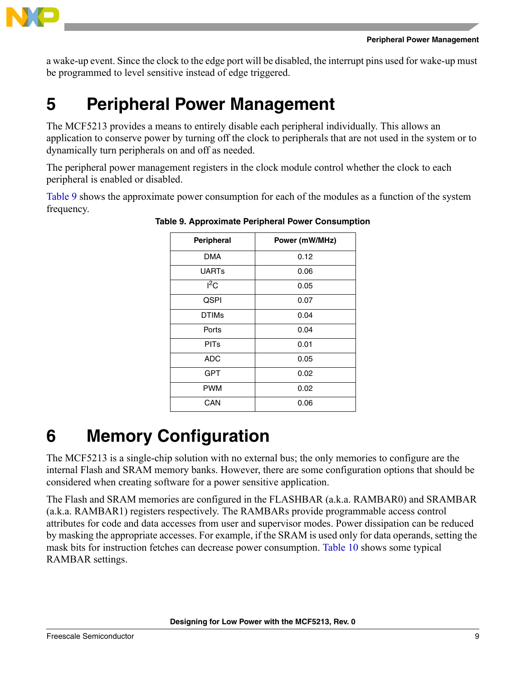

a wake-up event. Since the clock to the edge port will be disabled, the interrupt pins used for wake-up must be programmed to level sensitive instead of edge triggered.

## <span id="page-8-0"></span>**5 Peripheral Power Management**

The MCF5213 provides a means to entirely disable each peripheral individually. This allows an application to conserve power by turning off the clock to peripherals that are not used in the system or to dynamically turn peripherals on and off as needed.

The peripheral power management registers in the clock module control whether the clock to each peripheral is enabled or disabled.

<span id="page-8-2"></span>[Table 9](#page-8-2) shows the approximate power consumption for each of the modules as a function of the system frequency.

| Peripheral   | Power (mW/MHz)       |  |  |  |  |
|--------------|----------------------|--|--|--|--|
| <b>DMA</b>   | 0.12                 |  |  |  |  |
| <b>UARTs</b> | 0.06                 |  |  |  |  |
| $I^2C$       | 0.05                 |  |  |  |  |
| <b>QSPI</b>  | 0.07                 |  |  |  |  |
| <b>DTIMs</b> | 0.04<br>0.04<br>0.01 |  |  |  |  |
| Ports        |                      |  |  |  |  |
| <b>PITs</b>  |                      |  |  |  |  |
| ADC          | 0.05                 |  |  |  |  |
| <b>GPT</b>   | 0.02                 |  |  |  |  |
| <b>PWM</b>   | 0.02                 |  |  |  |  |
| CAN          | 0.06                 |  |  |  |  |

**Table 9. Approximate Peripheral Power Consumption**

## <span id="page-8-1"></span>**6 Memory Configuration**

The MCF5213 is a single-chip solution with no external bus; the only memories to configure are the internal Flash and SRAM memory banks. However, there are some configuration options that should be considered when creating software for a power sensitive application.

The Flash and SRAM memories are configured in the FLASHBAR (a.k.a. RAMBAR0) and SRAMBAR (a.k.a. RAMBAR1) registers respectively. The RAMBARs provide programmable access control attributes for code and data accesses from user and supervisor modes. Power dissipation can be reduced by masking the appropriate accesses. For example, if the SRAM is used only for data operands, setting the mask bits for instruction fetches can decrease power consumption. [Table 10](#page-9-1) shows some typical RAMBAR settings.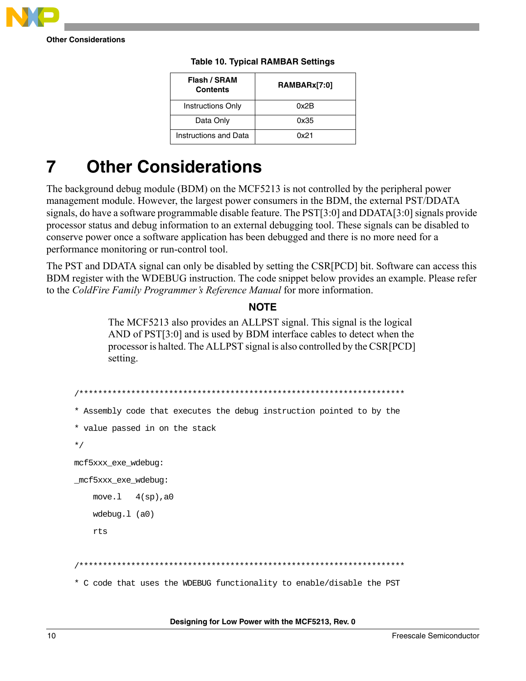

<span id="page-9-1"></span>**Other Considerations**

| Flash / SRAM<br><b>Contents</b> | RAMBARx[7:0] |  |  |  |
|---------------------------------|--------------|--|--|--|
| <b>Instructions Only</b>        | 0x2B         |  |  |  |
| Data Only                       | 0x35         |  |  |  |
| Instructions and Data           | 0x21         |  |  |  |

### **Table 10. Typical RAMBAR Settings**

## <span id="page-9-0"></span>**7 Other Considerations**

The background debug module (BDM) on the MCF5213 is not controlled by the peripheral power management module. However, the largest power consumers in the BDM, the external PST/DDATA signals, do have a software programmable disable feature. The PST[3:0] and DDATA[3:0] signals provide processor status and debug information to an external debugging tool. These signals can be disabled to conserve power once a software application has been debugged and there is no more need for a performance monitoring or run-control tool.

The PST and DDATA signal can only be disabled by setting the CSR[PCD] bit. Software can access this BDM register with the WDEBUG instruction. The code snippet below provides an example. Please refer to the *ColdFire Family Programmer's Reference Manual* for more information.

### **NOTE**

The MCF5213 also provides an ALLPST signal. This signal is the logical AND of PST[3:0] and is used by BDM interface cables to detect when the processor is halted. The ALLPST signal is also controlled by the CSR[PCD] setting.

```
/*********************************************************************
* Assembly code that executes the debug instruction pointed to by the 
* value passed in on the stack
*/
mcf5xxx_exe_wdebug:
_mcf5xxx_exe_wdebug:
    move.1 4(sp), a0
     wdebug.l (a0)
     rts 
                      /*********************************************************************
* C code that uses the WDEBUG functionality to enable/disable the PST
```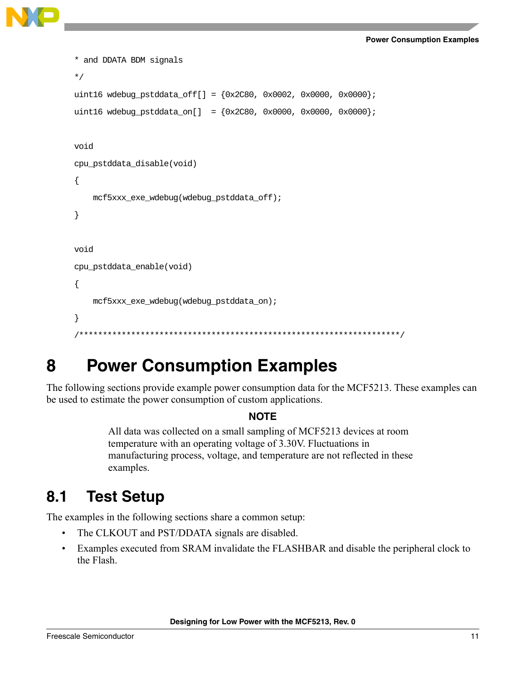```
* and DDATA BDM signals
*/
uint16 wdebug_pstddata_off[] = {0x2C80, 0x0002, 0x0000, 0x0000};
uint16 wdebug_pstddata_on[] = {0x2C80, 0x0000, 0x0000, 0x0000};
void
cpu_pstddata_disable(void)
{
     mcf5xxx_exe_wdebug(wdebug_pstddata_off);
}
void
cpu_pstddata_enable(void)
{
     mcf5xxx_exe_wdebug(wdebug_pstddata_on);
}
              /********************************************************************/
```
## <span id="page-10-0"></span>**8 Power Consumption Examples**

The following sections provide example power consumption data for the MCF5213. These examples can be used to estimate the power consumption of custom applications.

### **NOTE**

All data was collected on a small sampling of MCF5213 devices at room temperature with an operating voltage of 3.30V. Fluctuations in manufacturing process, voltage, and temperature are not reflected in these examples.

### <span id="page-10-1"></span>**8.1 Test Setup**

The examples in the following sections share a common setup:

- The CLKOUT and PST/DDATA signals are disabled.
- Examples executed from SRAM invalidate the FLASHBAR and disable the peripheral clock to the Flash.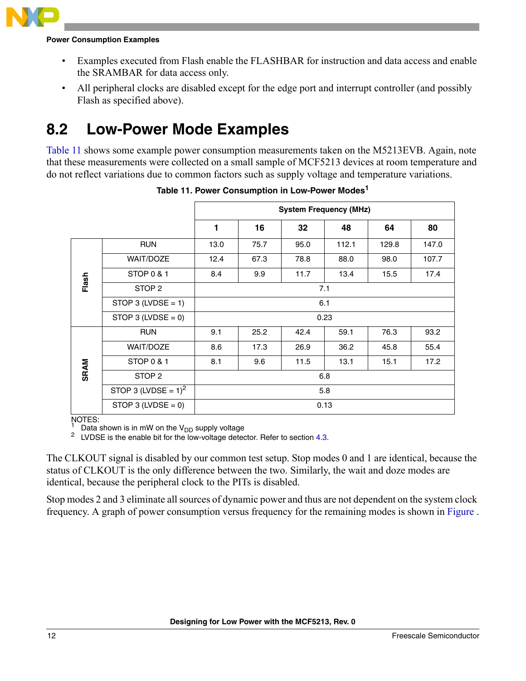

### **Power Consumption Examples**

- Examples executed from Flash enable the FLASHBAR for instruction and data access and enable the SRAMBAR for data access only.
- All peripheral clocks are disabled except for the edge port and interrupt controller (and possibly Flash as specified above).

### <span id="page-11-0"></span>**8.2 Low-Power Mode Examples**

[Table 11](#page-11-1) shows some example power consumption measurements taken on the M5213EVB. Again, note that these measurements were collected on a small sample of MCF5213 devices at room temperature and do not reflect variations due to common factors such as supply voltage and temperature variations. .

<span id="page-11-1"></span>

|             |                        | <b>System Frequency (MHz)</b> |      |      |       |       |       |  |  |
|-------------|------------------------|-------------------------------|------|------|-------|-------|-------|--|--|
|             |                        | 1                             | 16   | 32   | 48    | 64    | 80    |  |  |
| Flash       | <b>RUN</b>             | 13.0                          | 75.7 | 95.0 | 112.1 | 129.8 | 147.0 |  |  |
|             | <b>WAIT/DOZE</b>       | 12.4                          | 67.3 | 78.8 | 88.0  | 98.0  | 107.7 |  |  |
|             | STOP 0 & 1             | 8.4                           | 9.9  | 11.7 | 13.4  | 15.5  | 17.4  |  |  |
|             | STOP <sub>2</sub>      | 7.1                           |      |      |       |       |       |  |  |
|             | STOP 3 (LVDSE = 1)     | 6.1                           |      |      |       |       |       |  |  |
|             | STOP 3 (LVDSE = 0)     | 0.23                          |      |      |       |       |       |  |  |
| <b>SRAM</b> | <b>RUN</b>             | 9.1                           | 25.2 | 42.4 | 59.1  | 76.3  | 93.2  |  |  |
|             | <b>WAIT/DOZE</b>       | 8.6                           | 17.3 | 26.9 | 36.2  | 45.8  | 55.4  |  |  |
|             | STOP 0 & 1             | 8.1                           | 9.6  | 11.5 | 13.1  | 15.1  | 17.2  |  |  |
|             | STOP <sub>2</sub>      | 6.8                           |      |      |       |       |       |  |  |
|             | STOP 3 (LVDSE = $1)^2$ | 5.8                           |      |      |       |       |       |  |  |
|             | STOP 3 (LVDSE = $0$ )  | 0.13                          |      |      |       |       |       |  |  |

**Table 11. Power Consumption in Low-Power Modes<sup>1</sup>**

NOTES:

<sup>1</sup> Data shown is in mW on the V<sub>DD</sub> supply voltage  $\frac{2}{1}$  JVDSF is the enable bit for the low-voltage deter

LVDSE is the enable bit for the low-voltage detector. Refer to section [4.3.](#page-7-0)

The CLKOUT signal is disabled by our common test setup. Stop modes 0 and 1 are identical, because the status of CLKOUT is the only difference between the two. Similarly, the wait and doze modes are identical, because the peripheral clock to the PITs is disabled.

Stop modes 2 and 3 eliminate all sources of dynamic power and thus are not dependent on the system clock frequency. A graph of power consumption versus frequency for the remaining modes is shown in [Figure](#page-12-1) .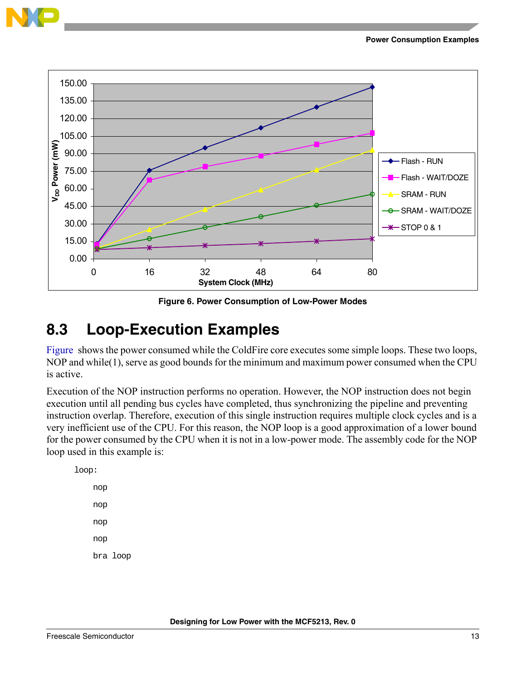

<span id="page-12-1"></span>

**Figure 6. Power Consumption of Low-Power Modes**

### <span id="page-12-0"></span>**8.3 Loop-Execution Examples**

[Figure](#page-13-1) shows the power consumed while the ColdFire core executes some simple loops. These two loops, NOP and while(1), serve as good bounds for the minimum and maximum power consumed when the CPU is active.

Execution of the NOP instruction performs no operation. However, the NOP instruction does not begin execution until all pending bus cycles have completed, thus synchronizing the pipeline and preventing instruction overlap. Therefore, execution of this single instruction requires multiple clock cycles and is a very inefficient use of the CPU. For this reason, the NOP loop is a good approximation of a lower bound for the power consumed by the CPU when it is not in a low-power mode. The assembly code for the NOP loop used in this example is:

loop: nop nop nop nop bra loop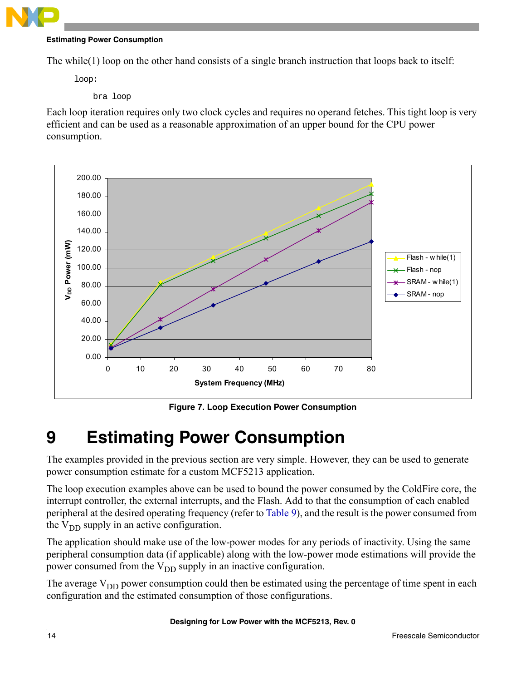

### **Estimating Power Consumption**

The while(1) loop on the other hand consists of a single branch instruction that loops back to itself:

loop:

bra loop

Each loop iteration requires only two clock cycles and requires no operand fetches. This tight loop is very efficient and can be used as a reasonable approximation of an upper bound for the CPU power consumption.

<span id="page-13-1"></span>

**Figure 7. Loop Execution Power Consumption**

## <span id="page-13-0"></span>**9 Estimating Power Consumption**

The examples provided in the previous section are very simple. However, they can be used to generate power consumption estimate for a custom MCF5213 application.

The loop execution examples above can be used to bound the power consumed by the ColdFire core, the interrupt controller, the external interrupts, and the Flash. Add to that the consumption of each enabled peripheral at the desired operating frequency (refer to [Table 9](#page-8-2)), and the result is the power consumed from the  $V_{DD}$  supply in an active configuration.

The application should make use of the low-power modes for any periods of inactivity. Using the same peripheral consumption data (if applicable) along with the low-power mode estimations will provide the power consumed from the  $V_{DD}$  supply in an inactive configuration.

The average  $V_{DD}$  power consumption could then be estimated using the percentage of time spent in each configuration and the estimated consumption of those configurations.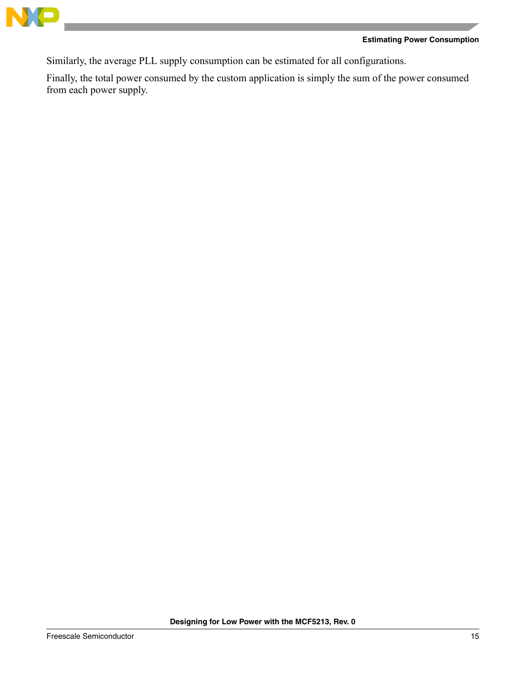

### **Estimating Power Consumption**

Similarly, the average PLL supply consumption can be estimated for all configurations.

Finally, the total power consumed by the custom application is simply the sum of the power consumed from each power supply.